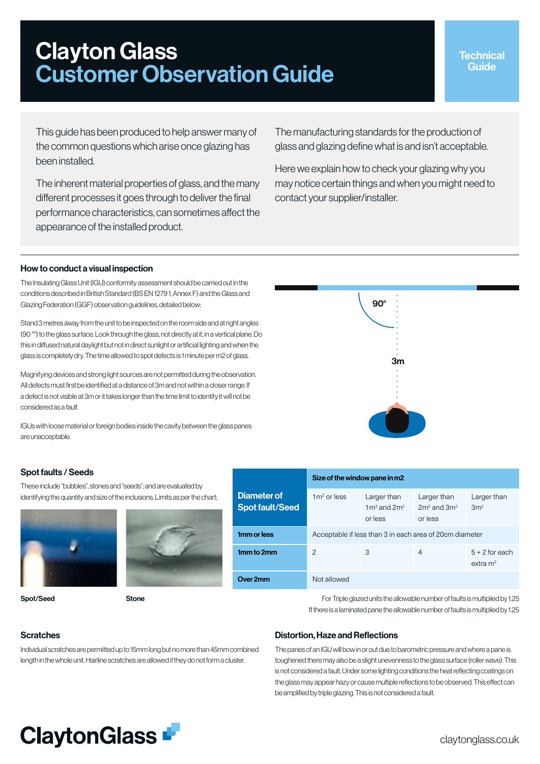# Clayton Glass Customer Observation Guide

This guide has been produced to help answer many of the common questions which arise once glazing has been installed.

The inherent material properties of glass, and the many different processes it goes through to deliver the final performance characteristics, can sometimes affect the appearance of the installed product.

The manufacturing standards for the production of glass and glazing define what is and isn't acceptable.

Here we explain how to check your glazing why you may notice certain things and when you might need to contact your supplier/installer.

## How to conduct a visual inspection

The Insulating Glass Unit (IGU) conformity assessment should be carried out in the conditions described in British Standard (BS EN 1279 1, Annex F) and the Glass and Glazing Federation (GGF) observation guidelines, detailed below;

Stand 3 metres away from the unit to be inspected on the room side and at right angles (90 °°) to the glass surface. Look through the glass, not directly at it, in a vertical plane. Do this in diffused natural daylight but not in direct sunlight or artificial lighting and when the glass is completely dry. The time allowed to spot defects is 1 minute per m2 of glass.

Magnifying devices and strong light sources are not permitted during the observation. All defects must first be identified at a distance of 3m and not within a closer range. If a defect is not visible at 3m or it takes longer than the time limit to identify it will not be considered as a fault

IGUs with loose material or foreign bodies inside the cavity between the glass panes are unacceptable.

## Spot faults / Seeds

These include "bubbles", stones and "seeds"; and are evaluated by identifying the quantity and size of the inclusions. Limits as per the chart;





Spot/Seed Stone



3m

90°

 $1$ mm to  $2$  and  $2$   $3$   $4$   $5+2$  for each

**Over 2mm** Not allowed

For Triple glazed units the allowable number of faults is multiplied by 1.25 If there is a laminated pane the allowable number of faults is multiplied by 1.25

## **Scratches**

Individual scratches are permitted up to 15mm long but no more than 45mm combined length in the whole unit. Hairline scratches are allowed if they do not form a cluster.

## Distortion, Haze and Reflections

The panes of an IGU will bow in or out due to barometric pressure and where a pane is toughened there may also be a slight unevenness to the glass surface (roller wave). This is not considered a fault. Under some lighting conditions the heat reflecting coatings on the glass may appear hazy or cause multiple reflections to be observed. This effect can be amplified by triple glazing. This is not considered a fault.



extra m2